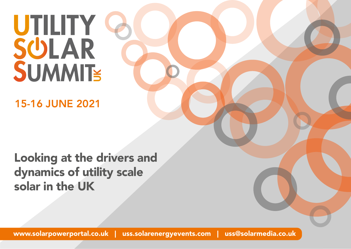# UTILITY Q<br>SULAR SUMMITS

15-16 JUNE 2021

Looking at the drivers and dynamics of utility scale solar in the UK

[www.solarpowerportal.co.uk](https://www.solarpowerportal.co.uk/) | [uss.solarenergyevents.com](https://uss.solarenergyevents.com/) | uss@solarmedia.co.uk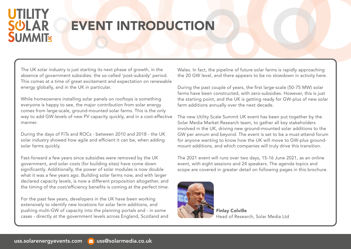### **UTILITY SULAR SUMMITE**

## EVENT INTRODUCTION

The UK solar industry is just starting its next phase of growth, in the absence of government subsidies: the so-called 'post-subsidy' period. This comes at a time of great excitement and expectation on renewable energy globally, and in the UK in particular.

While homeowners installing solar panels on rooftops is something everyone is happy to see, the major contribution from solar energy comes from large-scale, ground-mounted solar farms. This is the only way to add GW-levels of new PV capacity quickly, and in a cost-effective manner.

During the days of FiTs and ROCs - between 2010 and 2018 - the UK solar industry showed how agile and efficient it can be, when adding solar farms quickly.

Fast-forward a few years since subsidies were removed by the UK government, and solar costs (for building sites) have come down significantly. Additionally, the power of solar modules is now double what it was a few years ago. Building solar farms now, and with larger declared capacity levels, is now a different proposition altogether, and the timing of the cost/efficiency benefits is coming at the perfect time.

For the past few years, developers in the UK have been working extensively to identify new locations for solar farm additions, and pushing multi-GW of capacity into the planning portals and - in some cases - directly at the government levels across England, Scotland and Wales. In fact, the pipeline of future solar farms is rapidly approaching the 20 GW level, and there appears to be no slowdown in activity here.

During the past couple of years, the first large-scale (50-75 MW) solar farms have been constructed, with zero-subsidies. However, this is just the starting point, and the UK is getting ready for GW-plus of new solar farm additions annually over the next decade.

The new Utility Scale Summit UK event has been put together by the Solar Media Market Research team, to gather all key stakeholders involved in the UK, driving new ground-mounted solar additions to the GW per annum and beyond. The event is set to be a must-attend forum for anyone wanting to know how the UK will move to GW-plus groundmount additions, and which companies will truly drive this transition.

The 2021 event will runs over two days, 15-16 June 2021, as an online event, with eight sessions and 24 speakers. The agenda topics and scope are covered in greater detail on following pages in this brochure.



Finlay Colville Head of Research, Solar Media Ltd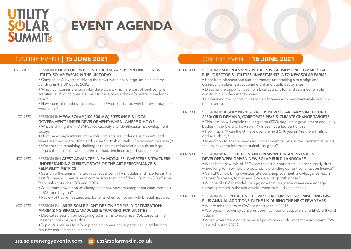### **UTILITY SULAR SUMMITE**

## EVENT AGENDA

#### UTILITY SOLAR FARMS IN THE UK TODAY • Companies & investors driving the new revolution in large-scale solar farm building in the UK out to 2030. • Which companies are pure-play developers, which are part of joint-venture activities, and which ones are likely to develop/build/own/operate in the longterm? • How many of the sites are stand-alone PV or co-located with battery storage or wind farms? 1100-1230 SESSION II: MEGA-SOLAR (100-500 MW) SITES (NSIP & LOCAL GOVERNMENT) UNDER DEVELOPMENT: WHEN, WHERE & HOW? • What is driving the >49.9MWp-dc capacity site identification & development today? • How many major infrastructure solar projects are under development, and where are they located (England, or via Scottish or Welsh Government overview)? • What are the remaining challenges to construction starting on these large mega-solar sites, and what are the realistic timelines to grid-connection?

0900-1030 SESSION I: DEVELOPERS BEHIND THE 15GW-PLUS PIPELINE OF NEW

#### 1400-1530 SESSION III: LATEST ADVANCES IN PV MODULES, INVERTERS & TRACKERS: UNDERSTANDING CURRENT STATE-OF-THE-ART PERFORMANCE & RELIABILITY METRICS

• Session will examine the technical advances in PV modules and inverters in the past few years, in particular in comparison to much of the UK's multi-GW of solar farm build-out under FiTs and ROCs.

• Aside from power and efficiency increases, how are component costs trending in 2021 and beyond?

• Review of tracker features and benefits when combined with bifacial modules.

#### 1600-1730 SESSION IV: LARGE-SCALE PLANT DESIGN FOR YIELD OPTIMIZATION: MAXIMIZING BIFACIAL MODULES & TRACKERS FOR UK SITES

• Dedicated session on designing solar farms to maximize ROI, based on the latest technologies available.

• Topics & speakers to inform planning community in particular, in addition to any new entrants to solar sector.

#### ONLINE EVENT | 15 JUNE 2021 DE DE LA CONLINE EVENT | 16 JUNE 2021

#### 0900-1030 SESSION I: SITE PLANNING IN THE POST-SUBSIDY ERA: COMMERCIAL, PUBLIC-SECTOR & UTILITIES' INVESTMENTS INTO NEW SOLAR FARMS

- Hear from planners and sub-contractors undertaking site design and construction plans, across commercial and public-sector sites.
- Discover the opportunities from local councils for land assigned for solar construction in the next few years.

• Understand the opportunities for landowners with megawatt-scale groundmount arrays.

#### 1100-1230 SESSION II: JUSTIFYING 10-GW-PLUS NEW SOLAR FARMS IN THE UK TO 2030: GRID DEMAND, CORPORATE PPAS & CLIMATE-CHANGE TARGETS

• This session will explain the long-term (2030) targets for government and utility bodies in the UK, and how solar PV is seen as a key part of this.

• How much PV can the UK take over the next 5-10 years? Are there limits with grid availability?

• In addition to energy needs and government targets, is the commercial sector the key driver for internal sustainability goals?

#### 1400-1530 SESSION III: ROLE OF EPCS AND O&MS WITHIN AN INVESTOR-DEVELOPED/PPA-DRIVEN NEW SOLAR-BUILD LANDSCAPE

• What is the new role of EPCs and their sub-contractors, in post-subsidy sites, where long-term owners are potentially providing upfront construction finance?

• Can EPCs now bring overseas site-build improvement knowledge learned in the past few years, to the new GW-scale UK growth phase?

• Will the old O&M model change, now that long-term owners are engaged further upstream in the site development-to-build value-chain?

#### 1600-1730 SESSION IV: FORECASTING TO 2025: FACTORS & RISKS IMPACTING GW-PLUS ANNUAL ADDITIONS IN THE UK DURING THE NEXT FEW YEARS

- Where are the risks to GW-scale this year, in 2021?
- Are legacy insolvency concerns about component suppliers and EPCs still valid today?

• What government or utility-based policy risks could impact the mid-term GWscale roll out to 2025?

#### [uss.solarenergyevents.com](https://uss.solarenergyevents.com/) <mark>v</mark>uss@solarmedia.co.uk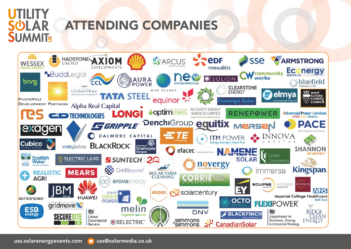# **JMMITE**

# ATTENDING COMPANIES

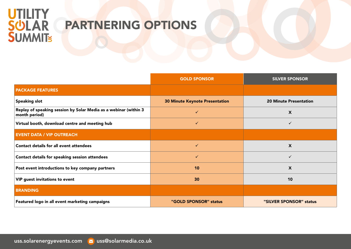# UTILITY<br>SÜLAR<br>SUMMIT

## PARTNERING OPTIONS

|                                                                                   | <b>GOLD SPONSOR</b>                   | <b>SILVER SPONSOR</b>         |
|-----------------------------------------------------------------------------------|---------------------------------------|-------------------------------|
| <b>PACKAGE FEATURES</b>                                                           |                                       |                               |
| <b>Speaking slot</b>                                                              | <b>30 Minute Keynote Presentation</b> | <b>20 Minute Presentation</b> |
| Replay of speaking session by Solar Media as a webinar (within 3<br>month period) | ✓                                     | $\boldsymbol{\mathsf{X}}$     |
| Virtual booth, download centre and meeting hub                                    | ✓                                     | ✓                             |
| <b>EVENT DATA / VIP OUTREACH</b>                                                  |                                       |                               |
| <b>Contact details for all event attendees</b>                                    | ✓                                     | $\boldsymbol{\mathsf{X}}$     |
| Contact details for speaking session attendees                                    | ✓                                     | $\checkmark$                  |
| Post event introductions to key company partners                                  | 10                                    | X                             |
| VIP guest invitations to event                                                    | 30                                    | 10                            |
| <b>BRANDING</b>                                                                   |                                       |                               |
| Featured logo in all event marketing campaigns                                    | "GOLD SPONSOR" status                 | "SILVER SPONSOR" status       |